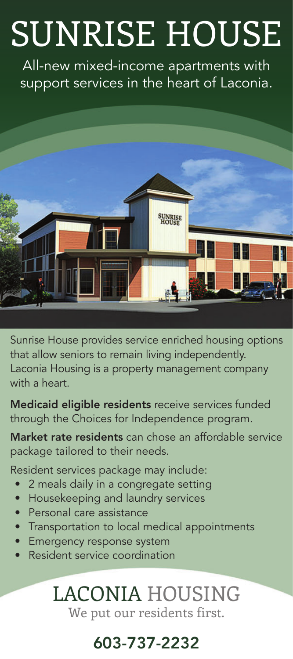## SUNRISE HOUSE

All-new mixed-income apartments with support services in the heart of Laconia.



Sunrise House provides service enriched housing options that allow seniors to remain living independently. Laconia Housing is a property management company with a heart.

Medicaid eligible residents receive services funded through the Choices for Independence program.

Market rate residents can chose an affordable service package tailored to their needs.

Resident services package may include:

- 2 meals daily in a congregate setting
- Housekeeping and laundry services
- Personal care assistance
- Transportation to local medical appointments
- Emergency response system
- Resident service coordination

## LACONIA HOUSING

We put our residents first.

## 603-737-2232